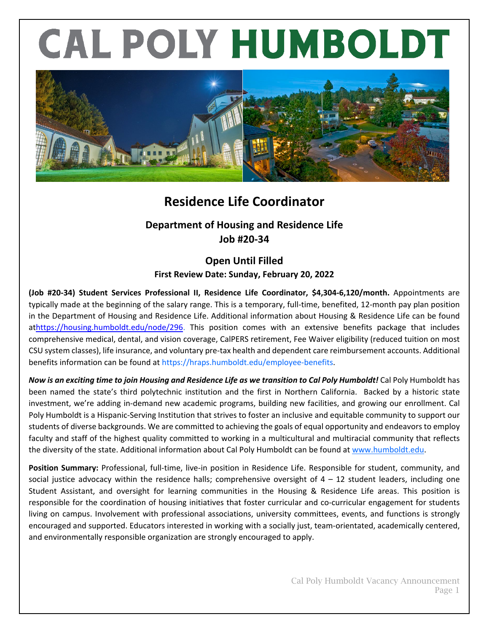# CAL POLY HUMBOLDT



# **Residence Life Coordinator**

## **Department of Housing and Residence Life Job #20-34**

### **Open Until Filled First Review Date: Sunday, February 20, 2022**

**(Job #20-34) Student Services Professional II, Residence Life Coordinator, \$4,304-6,120/month.** Appointments are typically made at the beginning of the salary range. This is a temporary, full-time, benefited, 12-month pay plan position in the Department of Housing and Residence Life. Additional information about Housing & Residence Life can be found a[thttps://housing.humboldt.edu/node/296.](https://housing.humboldt.edu/node/296) This position comes with an extensive benefits package that includes comprehensive medical, dental, and vision coverage, CalPERS retirement, Fee Waiver eligibility (reduced tuition on most CSU system classes), life insurance, and voluntary pre-tax health and dependent care reimbursement accounts. Additional benefits information can be found at https://hraps.humboldt.edu/employee-benefits.

*Now is an exciting time to join Housing and Residence Life as we transition to Cal Poly Humboldt!* Cal Poly Humboldt has been named the state's third polytechnic institution and the first in Northern California. Backed by a historic state investment, we're adding in-demand new academic programs, building new facilities, and growing our enrollment. Cal Poly Humboldt is a Hispanic-Serving Institution that strives to foster an inclusive and equitable community to support our students of diverse backgrounds. We are committed to achieving the goals of equal opportunity and endeavors to employ faculty and staff of the highest quality committed to working in a multicultural and multiracial community that reflects the diversity of the state. Additional information about Cal Poly Humboldt can be found at [www.humboldt.edu.](http://www.humboldt.edu/)

**Position Summary:** Professional, full-time, live-in position in Residence Life. Responsible for student, community, and social justice advocacy within the residence halls; comprehensive oversight of  $4 - 12$  student leaders, including one Student Assistant, and oversight for learning communities in the Housing & Residence Life areas. This position is responsible for the coordination of housing initiatives that foster curricular and co-curricular engagement for students living on campus. Involvement with professional associations, university committees, events, and functions is strongly encouraged and supported. Educators interested in working with a socially just, team-orientated, academically centered, and environmentally responsible organization are strongly encouraged to apply.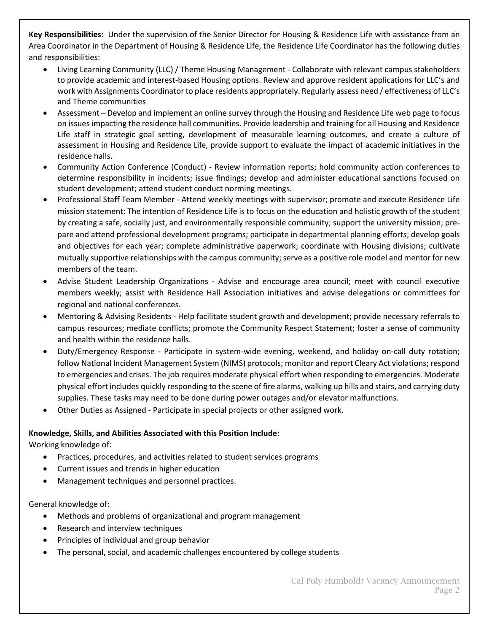**Key Responsibilities:** Under the supervision of the Senior Director for Housing & Residence Life with assistance from an Area Coordinator in the Department of Housing & Residence Life, the Residence Life Coordinator has the following duties and responsibilities:

- Living Learning Community (LLC) / Theme Housing Management Collaborate with relevant campus stakeholders to provide academic and interest-based Housing options. Review and approve resident applications for LLC's and work with Assignments Coordinator to place residents appropriately. Regularly assess need / effectiveness of LLC's and Theme communities
- Assessment Develop and implement an online survey through the Housing and Residence Life web page to focus on issues impacting the residence hall communities. Provide leadership and training for all Housing and Residence Life staff in strategic goal setting, development of measurable learning outcomes, and create a culture of assessment in Housing and Residence Life, provide support to evaluate the impact of academic initiatives in the residence halls.
- Community Action Conference (Conduct) Review information reports; hold community action conferences to determine responsibility in incidents; issue findings; develop and administer educational sanctions focused on student development; attend student conduct norming meetings.
- Professional Staff Team Member Attend weekly meetings with supervisor; promote and execute Residence Life mission statement: The intention of Residence Life is to focus on the education and holistic growth of the student by creating a safe, socially just, and environmentally responsible community; support the university mission; prepare and attend professional development programs; participate in departmental planning efforts; develop goals and objectives for each year; complete administrative paperwork; coordinate with Housing divisions; cultivate mutually supportive relationships with the campus community; serve as a positive role model and mentor for new members of the team.
- Advise Student Leadership Organizations Advise and encourage area council; meet with council executive members weekly; assist with Residence Hall Association initiatives and advise delegations or committees for regional and national conferences.
- Mentoring & Advising Residents Help facilitate student growth and development; provide necessary referrals to campus resources; mediate conflicts; promote the Community Respect Statement; foster a sense of community and health within the residence halls.
- Duty/Emergency Response Participate in system-wide evening, weekend, and holiday on-call duty rotation; follow National Incident Management System (NIMS) protocols; monitor and report Cleary Act violations; respond to emergencies and crises. The job requires moderate physical effort when responding to emergencies. Moderate physical effort includes quickly responding to the scene of fire alarms, walking up hills and stairs, and carrying duty supplies. These tasks may need to be done during power outages and/or elevator malfunctions.
- Other Duties as Assigned Participate in special projects or other assigned work.

#### **Knowledge, Skills, and Abilities Associated with this Position Include:**

Working knowledge of:

- Practices, procedures, and activities related to student services programs
- Current issues and trends in higher education
- Management techniques and personnel practices.

General knowledge of:

- Methods and problems of organizational and program management
- Research and interview techniques
- Principles of individual and group behavior
- The personal, social, and academic challenges encountered by college students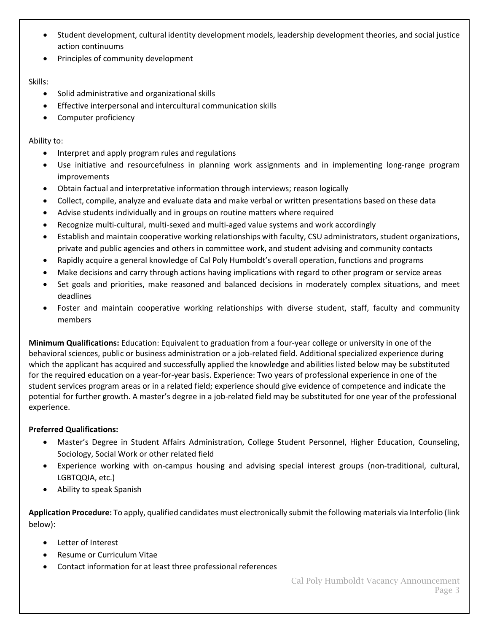- Student development, cultural identity development models, leadership development theories, and social justice action continuums
- Principles of community development

#### Skills:

- Solid administrative and organizational skills
- Effective interpersonal and intercultural communication skills
- Computer proficiency

#### Ability to:

- Interpret and apply program rules and regulations
- Use initiative and resourcefulness in planning work assignments and in implementing long-range program improvements
- Obtain factual and interpretative information through interviews; reason logically
- Collect, compile, analyze and evaluate data and make verbal or written presentations based on these data
- Advise students individually and in groups on routine matters where required
- Recognize multi-cultural, multi-sexed and multi-aged value systems and work accordingly
- Establish and maintain cooperative working relationships with faculty, CSU administrators, student organizations, private and public agencies and others in committee work, and student advising and community contacts
- Rapidly acquire a general knowledge of Cal Poly Humboldt's overall operation, functions and programs
- Make decisions and carry through actions having implications with regard to other program or service areas
- Set goals and priorities, make reasoned and balanced decisions in moderately complex situations, and meet deadlines
- Foster and maintain cooperative working relationships with diverse student, staff, faculty and community members

**Minimum Qualifications:** Education: Equivalent to graduation from a four-year college or university in one of the behavioral sciences, public or business administration or a job-related field. Additional specialized experience during which the applicant has acquired and successfully applied the knowledge and abilities listed below may be substituted for the required education on a year-for-year basis. Experience: Two years of professional experience in one of the student services program areas or in a related field; experience should give evidence of competence and indicate the potential for further growth. A master's degree in a job-related field may be substituted for one year of the professional experience.

#### **Preferred Qualifications:**

- Master's Degree in Student Affairs Administration, College Student Personnel, Higher Education, Counseling, Sociology, Social Work or other related field
- Experience working with on-campus housing and advising special interest groups (non-traditional, cultural, LGBTQQIA, etc.)
- Ability to speak Spanish

**Application Procedure:** To apply, qualified candidates must electronically submit the following materials via Interfolio (link below):

- Letter of Interest
- Resume or Curriculum Vitae
- Contact information for at least three professional references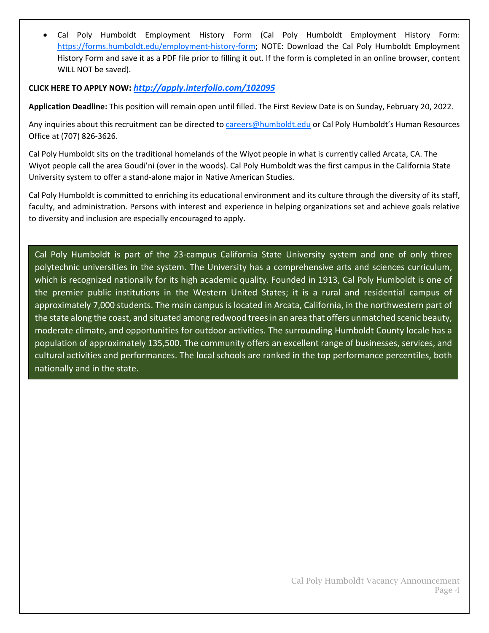• Cal Poly Humboldt Employment History Form (Cal Poly Humboldt Employment History Form: [https://forms.humboldt.edu/employment-history-form;](https://forms.humboldt.edu/employment-history-form) NOTE: Download the Cal Poly Humboldt Employment History Form and save it as a PDF file prior to filling it out. If the form is completed in an online browser, content WILL NOT be saved).

#### **CLICK HERE TO APPLY NOW:** *<http://apply.interfolio.com/102095>*

**Application Deadline:** This position will remain open until filled. The First Review Date is on Sunday, February 20, 2022.

Any inquiries about this recruitment can be directed to [careers@humboldt.edu](mailto:careers@humboldt.edu) or Cal Poly Humboldt's Human Resources Office at (707) 826-3626.

Cal Poly Humboldt sits on the traditional homelands of the Wiyot people in what is currently called Arcata, CA. The Wiyot people call the area Goudi'ni (over in the woods). Cal Poly Humboldt was the first campus in the California State University system to offer a stand-alone major in Native American Studies.

Cal Poly Humboldt is committed to enriching its educational environment and its culture through the diversity of its staff, faculty, and administration. Persons with interest and experience in helping organizations set and achieve goals relative to diversity and inclusion are especially encouraged to apply.

Cal Poly Humboldt is part of the 23-campus California State University system and one of only three polytechnic universities in the system. The University has a comprehensive arts and sciences curriculum, which is recognized nationally for its high academic quality. Founded in 1913, Cal Poly Humboldt is one of the premier public institutions in the Western United States; it is a rural and residential campus of approximately 7,000 students. The main campus is located in Arcata, California, in the northwestern part of the state along the coast, and situated among redwood trees in an area that offers unmatched scenic beauty, moderate climate, and opportunities for outdoor activities. The surrounding Humboldt County locale has a population of approximately 135,500. The community offers an excellent range of businesses, services, and cultural activities and performances. The local schools are ranked in the top performance percentiles, both nationally and in the state.